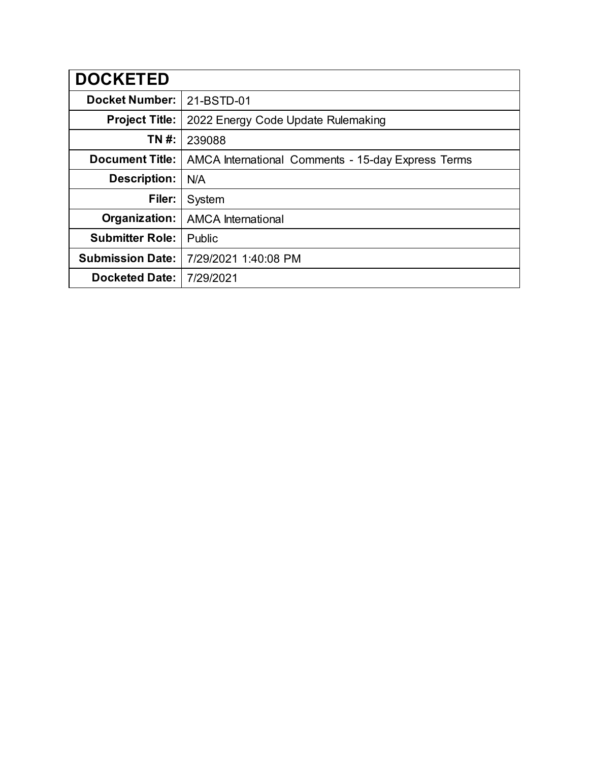| <b>DOCKETED</b>         |                                                    |
|-------------------------|----------------------------------------------------|
| <b>Docket Number:</b>   | 21-BSTD-01                                         |
| <b>Project Title:</b>   | 2022 Energy Code Update Rulemaking                 |
| TN #:                   | 239088                                             |
| <b>Document Title:</b>  | AMCA International Comments - 15-day Express Terms |
| Description:            | N/A                                                |
| Filer:                  | System                                             |
| Organization:           | <b>AMCA</b> International                          |
| <b>Submitter Role:</b>  | Public                                             |
| <b>Submission Date:</b> | 7/29/2021 1:40:08 PM                               |
| <b>Docketed Date:</b>   | 7/29/2021                                          |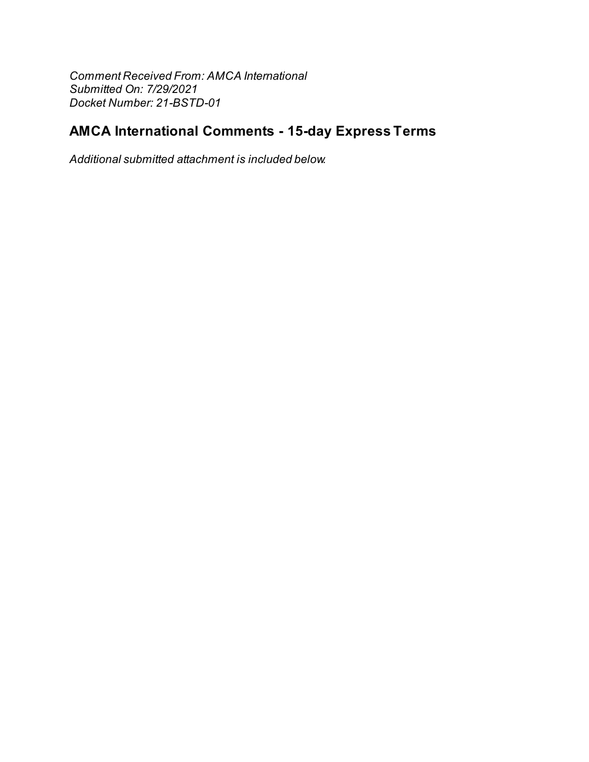Comment Received From: AMCA International Submitted On: 7/29/2021 Docket Number: 21-BSTD-01

## **AMCA International Comments - 15-day Express Terms**

Additional submitted attachment is included below.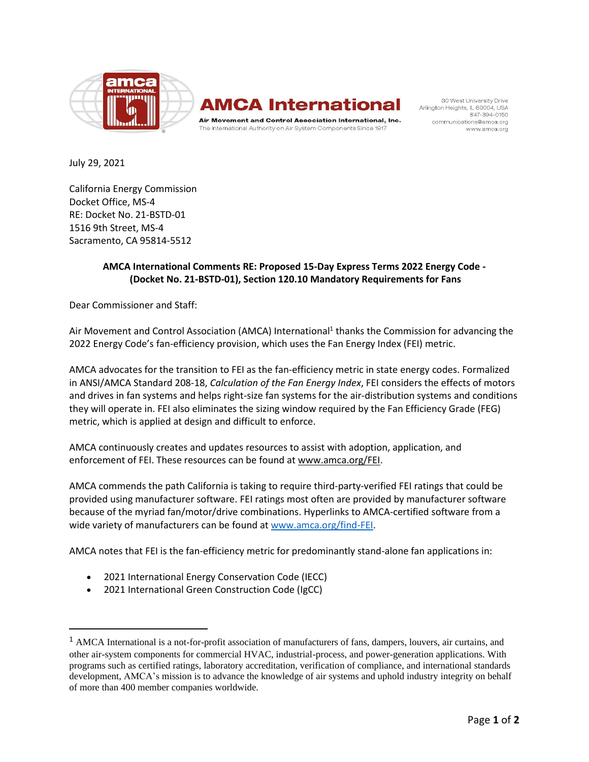

## **AMCA International**

Air Movement and Control Association International, Inc. The International Authority on Air System Components Since 1917

30 West University Drive Arlington Heights, IL 60004, USA 847-394-0150 communications@amca.org www.amca.org

July 29, 2021

California Energy Commission Docket Office, MS-4 RE: Docket No. 21-BSTD-01 1516 9th Street, MS-4 Sacramento, CA 95814-5512

## **AMCA International Comments RE: Proposed 15-Day Express Terms 2022 Energy Code - (Docket No. 21-BSTD-01), Section 120.10 Mandatory Requirements for Fans**

Dear Commissioner and Staff:

Air Movement and Control Association (AMCA) International<sup>1</sup> thanks the Commission for advancing the 2022 Energy Code's fan-efficiency provision, which uses the Fan Energy Index (FEI) metric.

AMCA advocates for the transition to FEI as the fan-efficiency metric in state energy codes. Formalized in ANSI/AMCA Standard 208-18, *Calculation of the Fan Energy Index*, FEI considers the effects of motors and drives in fan systems and helps right-size fan systems for the air-distribution systems and conditions they will operate in. FEI also eliminates the sizing window required by the Fan Efficiency Grade (FEG) metric, which is applied at design and difficult to enforce.

AMCA continuously creates and updates resources to assist with adoption, application, and enforcement of FEI. These resources can be found at [www.amca.org/FEI.](http://www.amca.org/FEI)

AMCA commends the path California is taking to require third-party-verified FEI ratings that could be provided using manufacturer software. FEI ratings most often are provided by manufacturer software because of the myriad fan/motor/drive combinations. Hyperlinks to AMCA-certified software from a wide variety of manufacturers can be found a[t www.amca.org/find-FEI.](http://www.amca.org/find-FEI)

AMCA notes that FEI is the fan-efficiency metric for predominantly stand-alone fan applications in:

- 2021 International Energy Conservation Code (IECC)
- 2021 International Green Construction Code (IgCC)

<sup>1</sup> AMCA International is a not-for-profit association of manufacturers of fans, dampers, louvers, air curtains, and other air-system components for commercial HVAC, industrial-process, and power-generation applications. With programs such as certified ratings, laboratory accreditation, verification of compliance, and international standards development, AMCA's mission is to advance the knowledge of air systems and uphold industry integrity on behalf of more than 400 member companies worldwide.